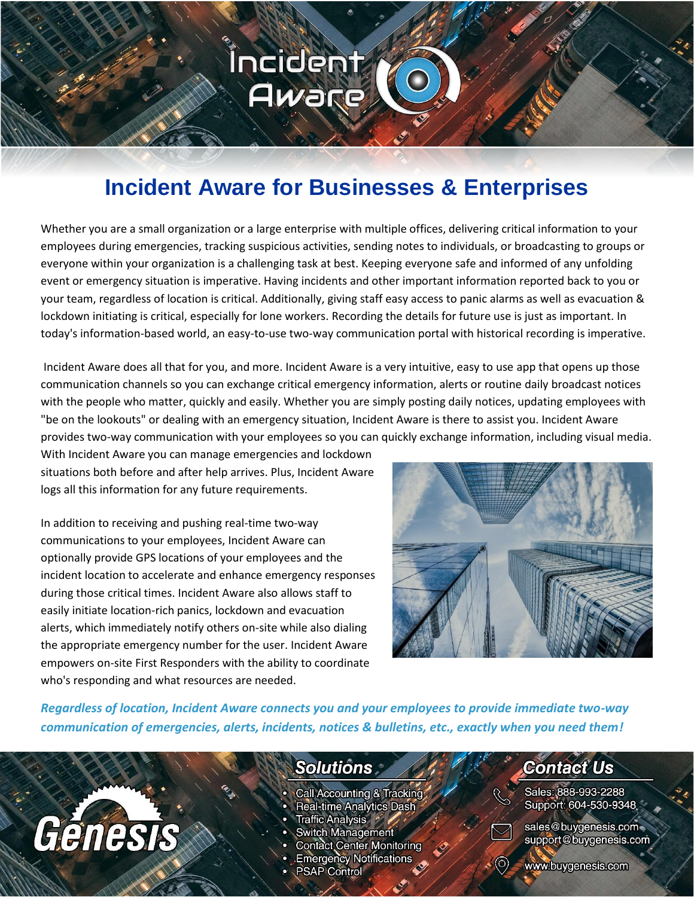# **Incident Aware for Businesses & Enterprises**

Incident

Aware

Whether you are a small organization or a large enterprise with multiple offices, delivering critical information to your employees during emergencies, tracking suspicious activities, sending notes to individuals, or broadcasting to groups or everyone within your organization is a challenging task at best. Keeping everyone safe and informed of any unfolding event or emergency situation is imperative. Having incidents and other important information reported back to you or your team, regardless of location is critical. Additionally, giving staff easy access to panic alarms as well as evacuation & lockdown initiating is critical, especially for lone workers. Recording the details for future use is just as important. In today's information-based world, an easy-to-use two-way communication portal with historical recording is imperative.

Incident Aware does all that for you, and more. Incident Aware is a very intuitive, easy to use app that opens up those communication channels so you can exchange critical emergency information, alerts or routine daily broadcast notices with the people who matter, quickly and easily. Whether you are simply posting daily notices, updating employees with "be on the lookouts" or dealing with an emergency situation, Incident Aware is there to assist you. Incident Aware provides two-way communication with your employees so you can quickly exchange information, including visual media.

With Incident Aware you can manage emergencies and lockdown situations both before and after help arrives. Plus, Incident Aware logs all this information for any future requirements.

In addition to receiving and pushing real-time two-way communications to your employees, Incident Aware can optionally provide GPS locations of your employees and the incident location to accelerate and enhance emergency responses during those critical times. Incident Aware also allows staff to easily initiate location-rich panics, lockdown and evacuation alerts, which immediately notify others on-site while also dialing the appropriate emergency number for the user. Incident Aware empowers on-site First Responders with the ability to coordinate who's responding and what resources are needed.

Génesis



*Regardless of location, Incident Aware connects you and your employees to provide immediate two-way communication of emergencies, alerts, incidents, notices & bulletins, etc., exactly when you need them!*

### **Solutions**

- Call Accounting & Tracking
- Real-time Analytics Dash
- Traffic Analysis \*
- **Switch Management**
- **Contact Center Monitoring**
- **Emergency Notifications**
- **PSAP Control**

## **Contact Us**

Sales: 888-993-2288 Support: 604-530-9348



sales@buygenesis.com support@buygenesis.com